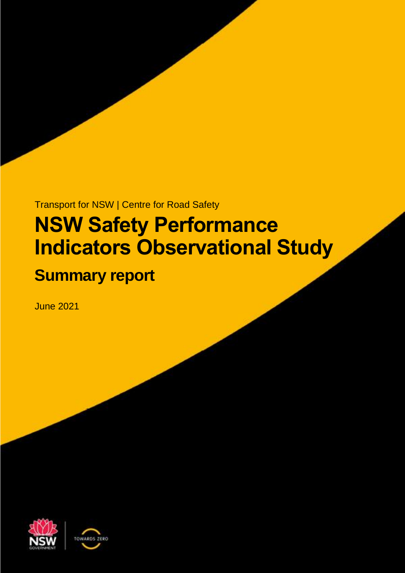Transport for NSW | Centre for Road Safety

# **NSW Safety Performance Indicators Observational Study**

# **Summary report**

June 2021



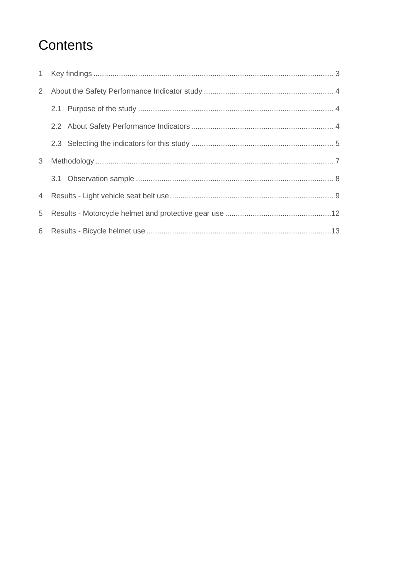# Contents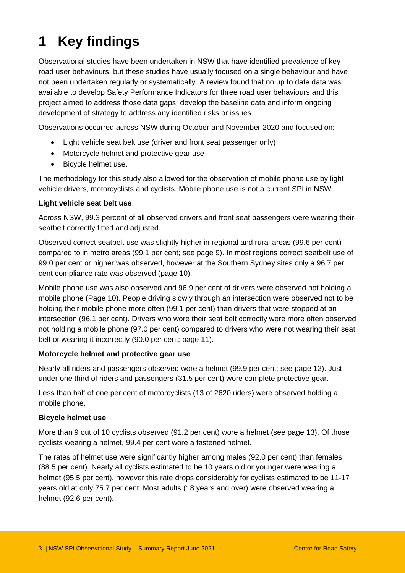# <span id="page-2-0"></span>**1 Key findings**

Observational studies have been undertaken in NSW that have identified prevalence of key road user behaviours, but these studies have usually focused on a single behaviour and have not been undertaken regularly or systematically. A review found that no up to date data was available to develop Safety Performance Indicators for three road user behaviours and this project aimed to address those data gaps, develop the baseline data and inform ongoing development of strategy to address any identified risks or issues.

Observations occurred across NSW during October and November 2020 and focused on:

- Light vehicle seat belt use (driver and front seat passenger only)
- Motorcycle helmet and protective gear use
- Bicycle helmet use.

The methodology for this study also allowed for the observation of mobile phone use by light vehicle drivers, motorcyclists and cyclists. Mobile phone use is not a current SPI in NSW.

#### **Light vehicle seat belt use**

Across NSW, 99.3 percent of all observed drivers and front seat passengers were wearing their seatbelt correctly fitted and adjusted.

Observed correct seatbelt use was slightly higher in regional and rural areas (99.6 per cent) compared to in metro areas (99.1 per cent; see page [9\)](#page-8-1). In most regions correct seatbelt use of 99.0 per cent or higher was observed, however at the Southern Sydney sites only a 96.7 per cent compliance rate was observed (page [10\)](#page-9-0).

Mobile phone use was also observed and 96.9 per cent of drivers were observed not holding a mobile phone (Page [10\)](#page-9-1). People driving slowly through an intersection were observed not to be holding their mobile phone more often (99.1 per cent) than drivers that were stopped at an intersection (96.1 per cent). Drivers who wore their seat belt correctly were more often observed not holding a mobile phone (97.0 per cent) compared to drivers who were not wearing their seat belt or wearing it incorrectly (90.0 per cent; page [11\)](#page-10-0).

#### **Motorcycle helmet and protective gear use**

Nearly all riders and passengers observed wore a helmet (99.9 per cent; see page [12\)](#page-11-0). Just under one third of riders and passengers (31.5 per cent) wore complete protective gear.

Less than half of one per cent of motorcyclists (13 of 2620 riders) were observed holding a mobile phone.

#### **Bicycle helmet use**

More than 9 out of 10 cyclists observed (91.2 per cent) wore a helmet (see page [13\)](#page-12-0). Of those cyclists wearing a helmet, 99.4 per cent wore a fastened helmet.

The rates of helmet use were significantly higher among males (92.0 per cent) than females (88.5 per cent). Nearly all cyclists estimated to be 10 years old or younger were wearing a helmet (95.5 per cent), however this rate drops considerably for cyclists estimated to be 11-17 years old at only 75.7 per cent. Most adults (18 years and over) were observed wearing a helmet (92.6 per cent).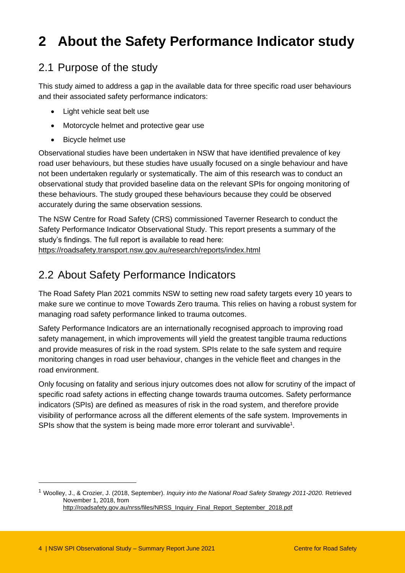### <span id="page-3-0"></span>**2 About the Safety Performance Indicator study**

### <span id="page-3-1"></span>2.1 Purpose of the study

This study aimed to address a gap in the available data for three specific road user behaviours and their associated safety performance indicators:

- Light vehicle seat belt use
- Motorcycle helmet and protective gear use
- Bicycle helmet use

Observational studies have been undertaken in NSW that have identified prevalence of key road user behaviours, but these studies have usually focused on a single behaviour and have not been undertaken regularly or systematically. The aim of this research was to conduct an observational study that provided baseline data on the relevant SPIs for ongoing monitoring of these behaviours. The study grouped these behaviours because they could be observed accurately during the same observation sessions.

The NSW Centre for Road Safety (CRS) commissioned Taverner Research to conduct the Safety Performance Indicator Observational Study. This report presents a summary of the study's findings. The full report is available to read here:

<https://roadsafety.transport.nsw.gov.au/research/reports/index.html>

### <span id="page-3-2"></span>2.2 About Safety Performance Indicators

The Road Safety Plan 2021 commits NSW to setting new road safety targets every 10 years to make sure we continue to move Towards Zero trauma. This relies on having a robust system for managing road safety performance linked to trauma outcomes.

Safety Performance Indicators are an internationally recognised approach to improving road safety management, in which improvements will yield the greatest tangible trauma reductions and provide measures of risk in the road system. SPIs relate to the safe system and require monitoring changes in road user behaviour, changes in the vehicle fleet and changes in the road environment.

Only focusing on fatality and serious injury outcomes does not allow for scrutiny of the impact of specific road safety actions in effecting change towards trauma outcomes. Safety performance indicators (SPIs) are defined as measures of risk in the road system, and therefore provide visibility of performance across all the different elements of the safe system. Improvements in SPIs show that the system is being made more error tolerant and survivable<sup>1</sup>.

<sup>1</sup> Woolley, J., & Crozier, J. (2018, September). *Inquiry into the National Road Safety Strategy 2011-2020.* Retrieved November 1, 2018, from [http://roadsafety.gov.au/nrss/files/NRSS\\_Inquiry\\_Final\\_Report\\_September\\_2018.pdf](http://roadsafety.gov.au/nrss/files/NRSS_Inquiry_Final_Report_September_2018.pdf)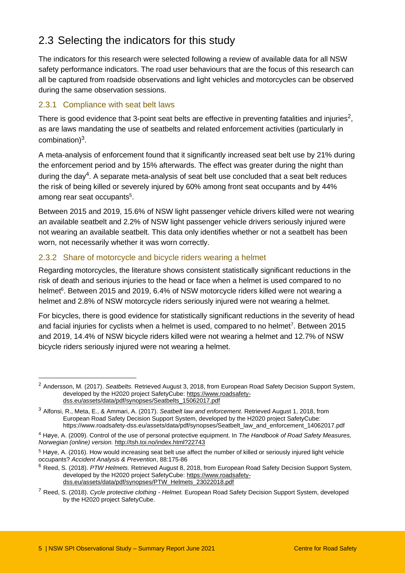### <span id="page-4-0"></span>2.3 Selecting the indicators for this study

The indicators for this research were selected following a review of available data for all NSW safety performance indicators. The road user behaviours that are the focus of this research can all be captured from roadside observations and light vehicles and motorcycles can be observed during the same observation sessions.

### 2.3.1 Compliance with seat belt laws

There is good evidence that 3-point seat belts are effective in preventing fatalities and injuries<sup>2</sup>, as are laws mandating the use of seatbelts and related enforcement activities (particularly in combination)<sup>3</sup>.

A meta-analysis of enforcement found that it significantly increased seat belt use by 21% during the enforcement period and by 15% afterwards. The effect was greater during the night than during the day<sup>4</sup>. A separate meta-analysis of seat belt use concluded that a seat belt reduces the risk of being killed or severely injured by 60% among front seat occupants and by 44% among rear seat occupants<sup>5</sup>.

Between 2015 and 2019, 15.6% of NSW light passenger vehicle drivers killed were not wearing an available seatbelt and 2.2% of NSW light passenger vehicle drivers seriously injured were not wearing an available seatbelt. This data only identifies whether or not a seatbelt has been worn, not necessarily whether it was worn correctly.

### 2.3.2 Share of motorcycle and bicycle riders wearing a helmet

Regarding motorcycles, the literature shows consistent statistically significant reductions in the risk of death and serious injuries to the head or face when a helmet is used compared to no helmet<sup>6</sup>. Between 2015 and 2019, 6.4% of NSW motorcycle riders killed were not wearing a helmet and 2.8% of NSW motorcycle riders seriously injured were not wearing a helmet.

For bicycles, there is good evidence for statistically significant reductions in the severity of head and facial injuries for cyclists when a helmet is used, compared to no helmet<sup>7</sup>. Between 2015 and 2019, 14.4% of NSW bicycle riders killed were not wearing a helmet and 12.7% of NSW bicycle riders seriously injured were not wearing a helmet.

<sup>2</sup> Andersson, M. (2017). *Seatbelts.* Retrieved August 3, 2018, from European Road Safety Decision Support System, developed by the H2020 project SafetyCube: [https://www.roadsafety](https://www.roadsafety-dss.eu/assets/data/pdf/synopses/Seatbelts_15062017.pdf)[dss.eu/assets/data/pdf/synopses/Seatbelts\\_15062017.pdf](https://www.roadsafety-dss.eu/assets/data/pdf/synopses/Seatbelts_15062017.pdf)

<sup>3</sup> Alfonsi, R., Meta, E., & Ammari, A. (2017). *Seatbelt law and enforcement.* Retrieved August 1, 2018, from European Road Safety Decision Support System, developed by the H2020 project SafetyCube: https://www.roadsafety-dss.eu/assets/data/pdf/synopses/Seatbelt\_law\_and\_enforcement\_14062017.pdf

<sup>4</sup> Høye, A. (2009). Control of the use of personal protective equipment. In *The Handbook of Road Safety Measures, Norwegian (online) version.* <http://tsh.toi.no/index.html?22743>

<sup>5</sup> Høye, A. (2016). How would increasing seat belt use affect the number of killed or seriously injured light vehicle occupants? *Accident Analysis & Prevention*, 88:175-86

<sup>6</sup> Reed, S. (2018). *PTW Helmets.* Retrieved August 8, 2018, from European Road Safety Decision Support System, developed by the H2020 project SafetyCube: [https://www.roadsafety](https://www.roadsafety-dss.eu/assets/data/pdf/synopses/PTW_Helmets_23022018.pdf)[dss.eu/assets/data/pdf/synopses/PTW\\_Helmets\\_23022018.pdf](https://www.roadsafety-dss.eu/assets/data/pdf/synopses/PTW_Helmets_23022018.pdf)

<sup>7</sup> Reed, S. (2018). *Cycle protective clothing - Helmet.* European Road Safety Decision Support System, developed by the H2020 project SafetyCube.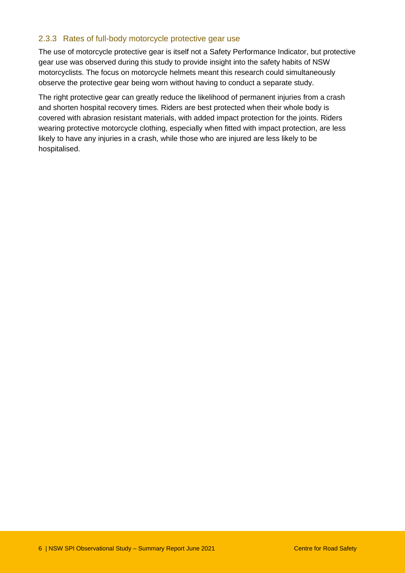### 2.3.3 Rates of full-body motorcycle protective gear use

The use of motorcycle protective gear is itself not a Safety Performance Indicator, but protective gear use was observed during this study to provide insight into the safety habits of NSW motorcyclists. The focus on motorcycle helmets meant this research could simultaneously observe the protective gear being worn without having to conduct a separate study.

The right protective gear can greatly reduce the likelihood of permanent injuries from a crash and shorten hospital recovery times. Riders are best protected when their whole body is covered with abrasion resistant materials, with added impact protection for the joints. Riders wearing protective motorcycle clothing, especially when fitted with impact protection, are less likely to have any injuries in a crash, while those who are injured are less likely to be hospitalised.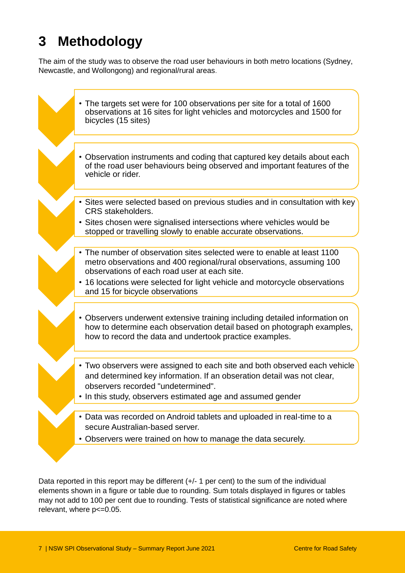# <span id="page-6-0"></span>**3 Methodology**

The aim of the study was to observe the road user behaviours in both metro locations (Sydney, Newcastle, and Wollongong) and regional/rural areas.



Data reported in this report may be different (+/- 1 per cent) to the sum of the individual elements shown in a figure or table due to rounding. Sum totals displayed in figures or tables may not add to 100 per cent due to rounding. Tests of statistical significance are noted where relevant, where  $p \le 0.05$ .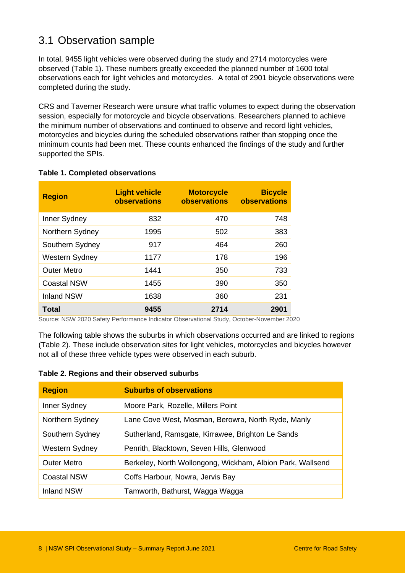### <span id="page-7-0"></span>3.1 Observation sample

In total, 9455 light vehicles were observed during the study and 2714 motorcycles were observed [\(Table 1\)](#page-7-1). These numbers greatly exceeded the planned number of 1600 total observations each for light vehicles and motorcycles. A total of 2901 bicycle observations were completed during the study.

CRS and Taverner Research were unsure what traffic volumes to expect during the observation session, especially for motorcycle and bicycle observations. Researchers planned to achieve the minimum number of observations and continued to observe and record light vehicles, motorcycles and bicycles during the scheduled observations rather than stopping once the minimum counts had been met. These counts enhanced the findings of the study and further supported the SPIs.

| <b>Region</b>         | <b>Light vehicle</b><br>observations | <b>Motorcycle</b><br>observations | <b>Bicycle</b><br>observations |
|-----------------------|--------------------------------------|-----------------------------------|--------------------------------|
| Inner Sydney          | 832                                  | 470                               | 748                            |
| Northern Sydney       | 1995                                 | 502                               | 383                            |
| Southern Sydney       | 917                                  | 464                               | 260                            |
| <b>Western Sydney</b> | 1177                                 | 178                               | 196                            |
| <b>Outer Metro</b>    | 1441                                 | 350                               | 733                            |
| <b>Coastal NSW</b>    | 1455                                 | 390                               | 350                            |
| <b>Inland NSW</b>     | 1638                                 | 360                               | 231                            |
| <b>Total</b>          | 9455                                 | 2714                              | 2901                           |

#### <span id="page-7-1"></span>**Table 1. Completed observations**

Source: NSW 2020 Safety Performance Indicator Observational Study, October-November 2020

The following table shows the suburbs in which observations occurred and are linked to regions [\(Table 2\)](#page-7-2). These include observation sites for light vehicles, motorcycles and bicycles however not all of these three vehicle types were observed in each suburb.

#### <span id="page-7-2"></span>**Table 2. Regions and their observed suburbs**

| <b>Region</b>      | <b>Suburbs of observations</b>                             |  |  |
|--------------------|------------------------------------------------------------|--|--|
| Inner Sydney       | Moore Park, Rozelle, Millers Point                         |  |  |
| Northern Sydney    | Lane Cove West, Mosman, Berowra, North Ryde, Manly         |  |  |
| Southern Sydney    | Sutherland, Ramsgate, Kirrawee, Brighton Le Sands          |  |  |
| Western Sydney     | Penrith, Blacktown, Seven Hills, Glenwood                  |  |  |
| <b>Outer Metro</b> | Berkeley, North Wollongong, Wickham, Albion Park, Wallsend |  |  |
| <b>Coastal NSW</b> | Coffs Harbour, Nowra, Jervis Bay                           |  |  |
| <b>Inland NSW</b>  | Tamworth, Bathurst, Wagga Wagga                            |  |  |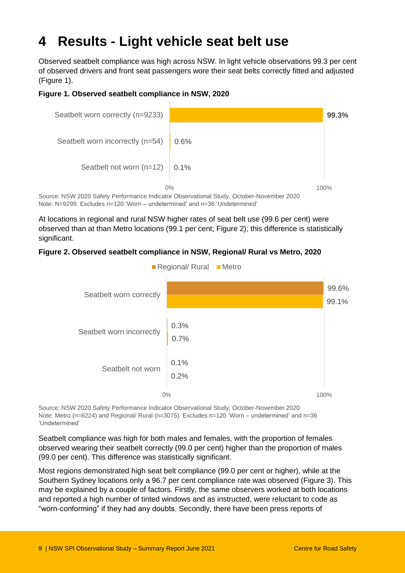### <span id="page-8-0"></span>**4 Results - Light vehicle seat belt use**

Observed seatbelt compliance was high across NSW. In light vehicle observations 99.3 per cent of observed drivers and front seat passengers wore their seat belts correctly fitted and adjusted [\(Figure 1\)](#page-8-1).

### <span id="page-8-1"></span>**Figure 1. Observed seatbelt compliance in NSW, 2020**



Note: N=9299. Excludes n=120 'Worn – undetermined' and n=36 'Undetermined'

At locations in regional and rural NSW higher rates of seat belt use (99.6 per cent) were observed than at than Metro locations (99.1 per cent; [Figure 2\)](#page-8-2); this difference is statistically significant.

### <span id="page-8-2"></span>**Figure 2. Observed seatbelt compliance in NSW, Regional/ Rural vs Metro, 2020**



Source: NSW 2020 Safety Performance Indicator Observational Study, October-November 2020 Note: Metro (n=6224) and Regional/ Rural (n=3075). Excludes n=120 'Worn – undetermined' and n=36 'Undetermined'

Seatbelt compliance was high for both males and females, with the proportion of females observed wearing their seatbelt correctly (99.0 per cent) higher than the proportion of males (99.0 per cent). This difference was statistically significant.

Most regions demonstrated high seat belt compliance (99.0 per cent or higher), while at the Southern Sydney locations only a 96.7 per cent compliance rate was observed [\(Figure 3\)](#page-9-0). This may be explained by a couple of factors. Firstly, the same observers worked at both locations and reported a high number of tinted windows and as instructed, were reluctant to code as "worn-conforming" if they had any doubts. Secondly, there have been press reports of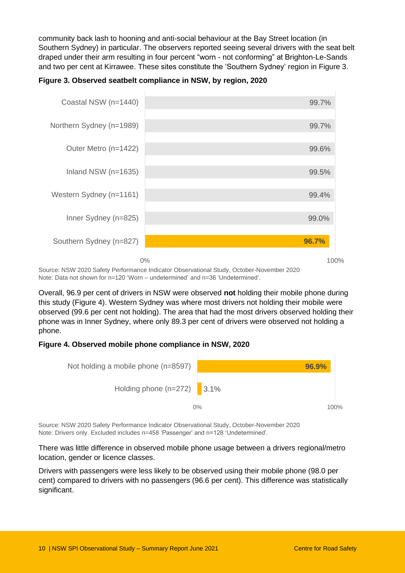community back lash to hooning and anti-social behaviour at the Bay Street location (in Southern Sydney) in particular. The observers reported seeing several drivers with the seat belt draped under their arm resulting in four percent "worn - not conforming" at Brighton-Le-Sands and two per cent at Kirrawee. These sites constitute the 'Southern Sydney' region in [Figure 3.](#page-9-0)

<span id="page-9-0"></span>



Source: NSW 2020 Safety Performance Indicator Observational Study, October-November 2020 Note: Data not shown for n=120 'Worn – undetermined' and n=36 'Undetermined'.

Overall, 96.9 per cent of drivers in NSW were observed **not** holding their mobile phone during this study [\(Figure 4\)](#page-9-1). Western Sydney was where most drivers not holding their mobile were observed (99.6 per cent not holding). The area that had the most drivers observed holding their phone was in Inner Sydney, where only 89.3 per cent of drivers were observed not holding a phone.

### <span id="page-9-1"></span>**Figure 4. Observed mobile phone compliance in NSW, 2020**



Source: NSW 2020 Safety Performance Indicator Observational Study, October-November 2020 Note: Drivers only. Excluded includes n=458 'Passenger' and n=128 'Undetermined'.

There was little difference in observed mobile phone usage between a drivers regional/metro location, gender or licence classes.

Drivers with passengers were less likely to be observed using their mobile phone (98.0 per cent) compared to drivers with no passengers (96.6 per cent). This difference was statistically significant.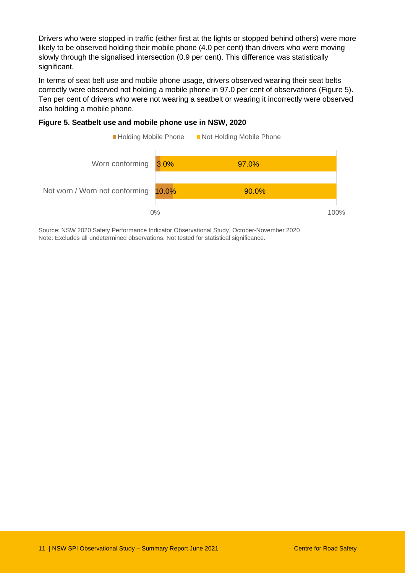Drivers who were stopped in traffic (either first at the lights or stopped behind others) were more likely to be observed holding their mobile phone (4.0 per cent) than drivers who were moving slowly through the signalised intersection (0.9 per cent). This difference was statistically significant.

In terms of seat belt use and mobile phone usage, drivers observed wearing their seat belts correctly were observed not holding a mobile phone in 97.0 per cent of observations [\(Figure 5\)](#page-10-0). Ten per cent of drivers who were not wearing a seatbelt or wearing it incorrectly were observed also holding a mobile phone.



#### <span id="page-10-0"></span>**Figure 5. Seatbelt use and mobile phone use in NSW, 2020**

Source: NSW 2020 Safety Performance Indicator Observational Study, October-November 2020 Note: Excludes all undetermined observations. Not tested for statistical significance.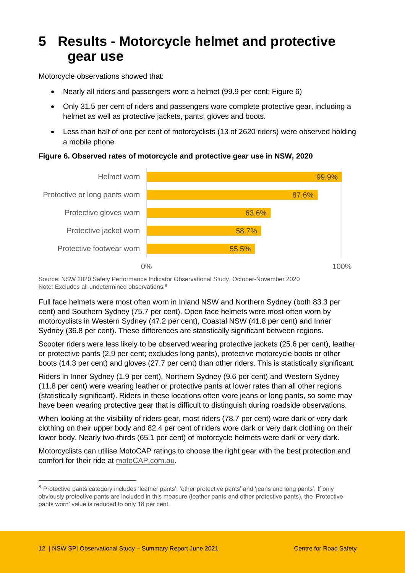### <span id="page-11-0"></span>**5 Results - Motorcycle helmet and protective gear use**

Motorcycle observations showed that:

- Nearly all riders and passengers wore a helmet (99.9 per cent; [Figure 6\)](#page-11-1)
- Only 31.5 per cent of riders and passengers wore complete protective gear, including a helmet as well as protective jackets, pants, gloves and boots.
- Less than half of one per cent of motorcyclists (13 of 2620 riders) were observed holding a mobile phone

#### <span id="page-11-1"></span>**Figure 6. Observed rates of motorcycle and protective gear use in NSW, 2020**



Source: NSW 2020 Safety Performance Indicator Observational Study, October-November 2020 Note: Excludes all undetermined observations.<sup>8</sup>

Full face helmets were most often worn in Inland NSW and Northern Sydney (both 83.3 per cent) and Southern Sydney (75.7 per cent). Open face helmets were most often worn by motorcyclists in Western Sydney (47.2 per cent), Coastal NSW (41.8 per cent) and Inner Sydney (36.8 per cent). These differences are statistically significant between regions.

Scooter riders were less likely to be observed wearing protective jackets (25.6 per cent), leather or protective pants (2.9 per cent; excludes long pants), protective motorcycle boots or other boots (14.3 per cent) and gloves (27.7 per cent) than other riders. This is statistically significant.

Riders in Inner Sydney (1.9 per cent), Northern Sydney (9.6 per cent) and Western Sydney (11.8 per cent) were wearing leather or protective pants at lower rates than all other regions (statistically significant). Riders in these locations often wore jeans or long pants, so some may have been wearing protective gear that is difficult to distinguish during roadside observations.

When looking at the visibility of riders gear, most riders (78.7 per cent) wore dark or very dark clothing on their upper body and 82.4 per cent of riders wore dark or very dark clothing on their lower body. Nearly two-thirds (65.1 per cent) of motorcycle helmets were dark or very dark.

Motorcyclists can utilise MotoCAP ratings to choose the right gear with the best protection and comfort for their ride at [motoCAP.com.au.](https://www.motocap.com.au/)

<sup>&</sup>lt;sup>8</sup> Protective pants category includes 'leather pants', 'other protective pants' and 'jeans and long pants'. If only obviously protective pants are included in this measure (leather pants and other protective pants), the 'Protective pants worn' value is reduced to only 18 per cent.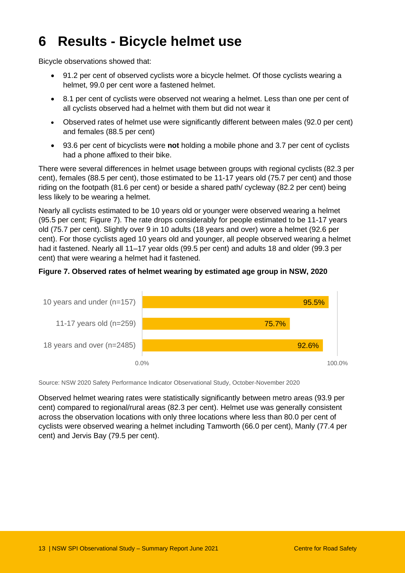### <span id="page-12-0"></span>**6 Results - Bicycle helmet use**

Bicycle observations showed that:

- 91.2 per cent of observed cyclists wore a bicycle helmet. Of those cyclists wearing a helmet, 99.0 per cent wore a fastened helmet.
- 8.1 per cent of cyclists were observed not wearing a helmet. Less than one per cent of all cyclists observed had a helmet with them but did not wear it
- Observed rates of helmet use were significantly different between males (92.0 per cent) and females (88.5 per cent)
- 93.6 per cent of bicyclists were **not** holding a mobile phone and 3.7 per cent of cyclists had a phone affixed to their bike.

There were several differences in helmet usage between groups with regional cyclists (82.3 per cent), females (88.5 per cent), those estimated to be 11-17 years old (75.7 per cent) and those riding on the footpath (81.6 per cent) or beside a shared path/ cycleway (82.2 per cent) being less likely to be wearing a helmet.

Nearly all cyclists estimated to be 10 years old or younger were observed wearing a helmet (95.5 per cent; [Figure 7\)](#page-12-1). The rate drops considerably for people estimated to be 11-17 years old (75.7 per cent). Slightly over 9 in 10 adults (18 years and over) wore a helmet (92.6 per cent). For those cyclists aged 10 years old and younger, all people observed wearing a helmet had it fastened. Nearly all 11–17 year olds (99.5 per cent) and adults 18 and older (99.3 per cent) that were wearing a helmet had it fastened.

#### <span id="page-12-1"></span>**Figure 7. Observed rates of helmet wearing by estimated age group in NSW, 2020**



Source: NSW 2020 Safety Performance Indicator Observational Study, October-November 2020

Observed helmet wearing rates were statistically significantly between metro areas (93.9 per cent) compared to regional/rural areas (82.3 per cent). Helmet use was generally consistent across the observation locations with only three locations where less than 80.0 per cent of cyclists were observed wearing a helmet including Tamworth (66.0 per cent), Manly (77.4 per cent) and Jervis Bay (79.5 per cent).